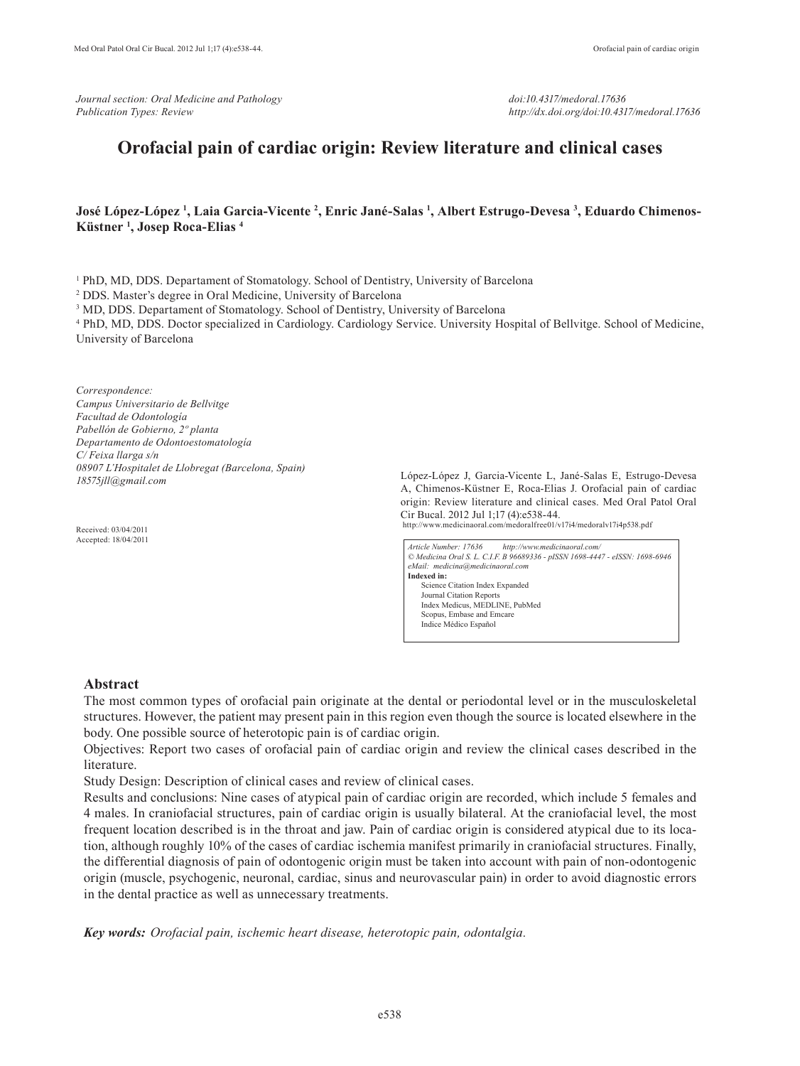*Journal section: Oral Medicine and Pathology Publication Types: Review*

*doi:10.4317/medoral.17636 http://dx.doi.org/doi:10.4317/medoral.17636*

# **Orofacial pain of cardiac origin: Review literature and clinical cases**

### **José López-López 1 , Laia Garcia-Vicente 2 , Enric Jané-Salas 1 , Albert Estrugo-Devesa 3 , Eduardo Chimenos-Küstner 1 , Josep Roca-Elias 4**

1 PhD, MD, DDS. Departament of Stomatology. School of Dentistry, University of Barcelona

2 DDS. Master's degree in Oral Medicine, University of Barcelona

<sup>3</sup> MD, DDS. Departament of Stomatology. School of Dentistry, University of Barcelona

4 PhD, MD, DDS. Doctor specialized in Cardiology. Cardiology Service. University Hospital of Bellvitge. School of Medicine, University of Barcelona

*Correspondence: Campus Universitario de Bellvitge Facultad de Odontología Pabellón de Gobierno, 2º planta Departamento de Odontoestomatología C/ Feixa llarga s/n 08907 L'Hospitalet de Llobregat (Barcelona, Spain) 18575jll@gmail.com*

Received: 03/04/2011 Accepted: 18/04/2011 López-López J, Garcia-Vicente L, Jané-Salas E, Estrugo-Devesa A, Chimenos-Küstner E, Roca-Elias J. Orofacial pain of cardiac origin: Review literature and clinical cases. Med Oral Patol Oral Cir Bucal. 2012 Jul 1;17 (4):e538-44. http://www.medicinaoral.com/medoralfree01/v17i4/medoralv17i4p538.pdf

*Article Number: 17636 http://www.medicinaoral.com/ © Medicina Oral S. L. C.I.F. B 96689336 - pISSN 1698-4447 - eISSN: 1698-6946 eMail: medicina@medicinaoral.com*  **Indexed in:**  Science Citation Index Expanded Journal Citation Reports Index Medicus, MEDLINE, PubMed Scopus, Embase and Emcare Indice Médico Español

#### **Abstract**

The most common types of orofacial pain originate at the dental or periodontal level or in the musculoskeletal structures. However, the patient may present pain in this region even though the source is located elsewhere in the body. One possible source of heterotopic pain is of cardiac origin.

Objectives: Report two cases of orofacial pain of cardiac origin and review the clinical cases described in the literature.

Study Design: Description of clinical cases and review of clinical cases.

Results and conclusions: Nine cases of atypical pain of cardiac origin are recorded, which include 5 females and 4 males. In craniofacial structures, pain of cardiac origin is usually bilateral. At the craniofacial level, the most frequent location described is in the throat and jaw. Pain of cardiac origin is considered atypical due to its location, although roughly 10% of the cases of cardiac ischemia manifest primarily in craniofacial structures. Finally, the differential diagnosis of pain of odontogenic origin must be taken into account with pain of non-odontogenic origin (muscle, psychogenic, neuronal, cardiac, sinus and neurovascular pain) in order to avoid diagnostic errors in the dental practice as well as unnecessary treatments.

*Key words: Orofacial pain, ischemic heart disease, heterotopic pain, odontalgia.*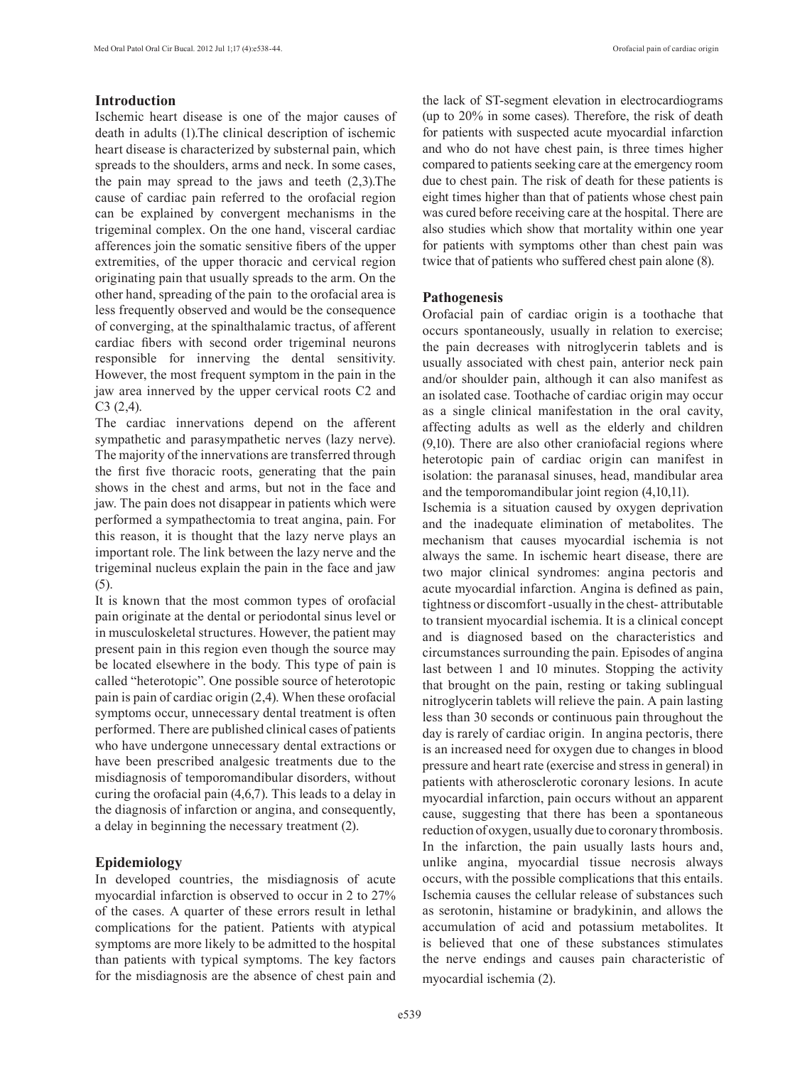### **Introduction**

Ischemic heart disease is one of the major causes of death in adults (1).The clinical description of ischemic heart disease is characterized by substernal pain, which spreads to the shoulders, arms and neck. In some cases, the pain may spread to the jaws and teeth (2,3).The cause of cardiac pain referred to the orofacial region can be explained by convergent mechanisms in the trigeminal complex. On the one hand, visceral cardiac afferences join the somatic sensitive fibers of the upper extremities, of the upper thoracic and cervical region originating pain that usually spreads to the arm. On the other hand, spreading of the pain to the orofacial area is less frequently observed and would be the consequence of converging, at the spinalthalamic tractus, of afferent cardiac fibers with second order trigeminal neurons responsible for innerving the dental sensitivity. However, the most frequent symptom in the pain in the jaw area innerved by the upper cervical roots C2 and C3 (2,4).

The cardiac innervations depend on the afferent sympathetic and parasympathetic nerves (lazy nerve). The majority of the innervations are transferred through the first five thoracic roots, generating that the pain shows in the chest and arms, but not in the face and jaw. The pain does not disappear in patients which were performed a sympathectomia to treat angina, pain. For this reason, it is thought that the lazy nerve plays an important role. The link between the lazy nerve and the trigeminal nucleus explain the pain in the face and jaw  $(5)$ .

It is known that the most common types of orofacial pain originate at the dental or periodontal sinus level or in musculoskeletal structures. However, the patient may present pain in this region even though the source may be located elsewhere in the body. This type of pain is called "heterotopic". One possible source of heterotopic pain is pain of cardiac origin (2,4). When these orofacial symptoms occur, unnecessary dental treatment is often performed. There are published clinical cases of patients who have undergone unnecessary dental extractions or have been prescribed analgesic treatments due to the misdiagnosis of temporomandibular disorders, without curing the orofacial pain (4,6,7). This leads to a delay in the diagnosis of infarction or angina, and consequently, a delay in beginning the necessary treatment (2).

# **Epidemiology**

In developed countries, the misdiagnosis of acute myocardial infarction is observed to occur in 2 to 27% of the cases. A quarter of these errors result in lethal complications for the patient. Patients with atypical symptoms are more likely to be admitted to the hospital than patients with typical symptoms. The key factors for the misdiagnosis are the absence of chest pain and the lack of ST-segment elevation in electrocardiograms (up to 20% in some cases). Therefore, the risk of death for patients with suspected acute myocardial infarction and who do not have chest pain, is three times higher compared to patients seeking care at the emergency room due to chest pain. The risk of death for these patients is eight times higher than that of patients whose chest pain was cured before receiving care at the hospital. There are also studies which show that mortality within one year for patients with symptoms other than chest pain was twice that of patients who suffered chest pain alone (8).

### **Pathogenesis**

Orofacial pain of cardiac origin is a toothache that occurs spontaneously, usually in relation to exercise; the pain decreases with nitroglycerin tablets and is usually associated with chest pain, anterior neck pain and/or shoulder pain, although it can also manifest as an isolated case. Toothache of cardiac origin may occur as a single clinical manifestation in the oral cavity, affecting adults as well as the elderly and children (9,10). There are also other craniofacial regions where heterotopic pain of cardiac origin can manifest in isolation: the paranasal sinuses, head, mandibular area and the temporomandibular joint region (4,10,11).

Ischemia is a situation caused by oxygen deprivation and the inadequate elimination of metabolites. The mechanism that causes myocardial ischemia is not always the same. In ischemic heart disease, there are two major clinical syndromes: angina pectoris and acute myocardial infarction. Angina is defined as pain, tightness or discomfort -usually in the chest- attributable to transient myocardial ischemia. It is a clinical concept and is diagnosed based on the characteristics and circumstances surrounding the pain. Episodes of angina last between 1 and 10 minutes. Stopping the activity that brought on the pain, resting or taking sublingual nitroglycerin tablets will relieve the pain. A pain lasting less than 30 seconds or continuous pain throughout the day is rarely of cardiac origin. In angina pectoris, there is an increased need for oxygen due to changes in blood pressure and heart rate (exercise and stress in general) in patients with atherosclerotic coronary lesions. In acute myocardial infarction, pain occurs without an apparent cause, suggesting that there has been a spontaneous reduction of oxygen, usually due to coronary thrombosis. In the infarction, the pain usually lasts hours and, unlike angina, myocardial tissue necrosis always occurs, with the possible complications that this entails. Ischemia causes the cellular release of substances such as serotonin, histamine or bradykinin, and allows the accumulation of acid and potassium metabolites. It is believed that one of these substances stimulates the nerve endings and causes pain characteristic of myocardial ischemia (2).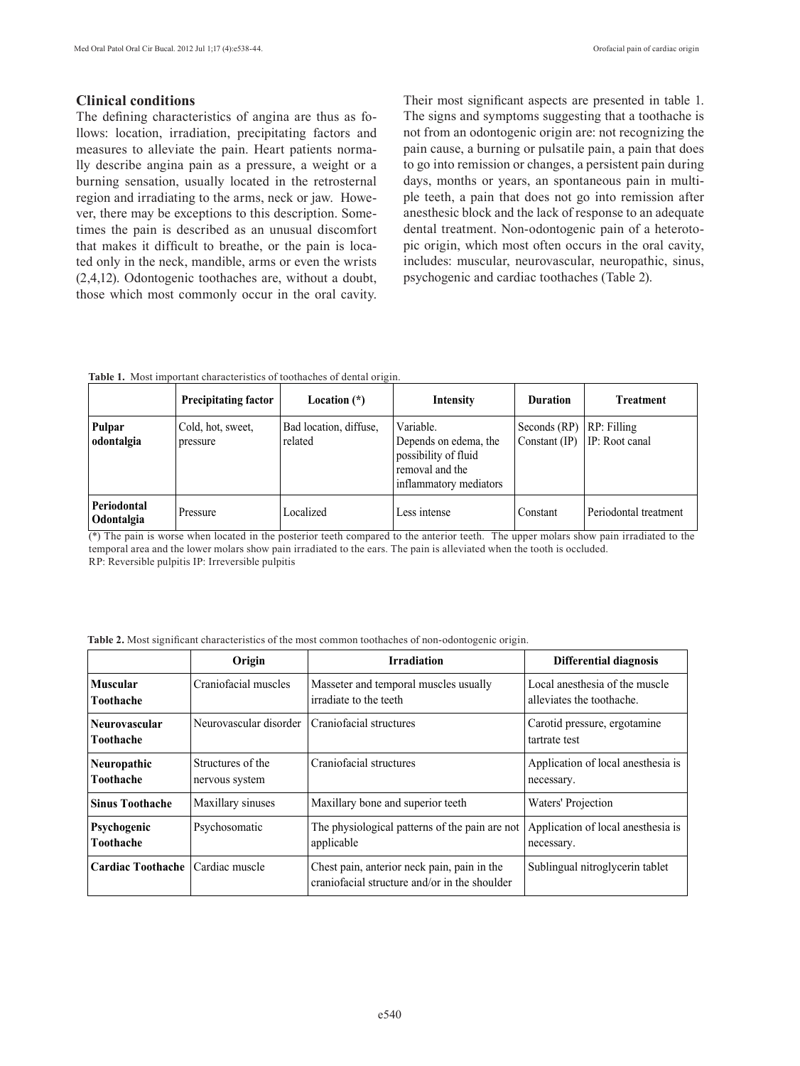#### **Clinical conditions**

The defining characteristics of angina are thus as follows: location, irradiation, precipitating factors and measures to alleviate the pain. Heart patients normally describe angina pain as a pressure, a weight or a burning sensation, usually located in the retrosternal region and irradiating to the arms, neck or jaw. However, there may be exceptions to this description. Sometimes the pain is described as an unusual discomfort that makes it difficult to breathe, or the pain is located only in the neck, mandible, arms or even the wrists (2,4,12). Odontogenic toothaches are, without a doubt, those which most commonly occur in the oral cavity.

Their most significant aspects are presented in table 1. The signs and symptoms suggesting that a toothache is not from an odontogenic origin are: not recognizing the pain cause, a burning or pulsatile pain, a pain that does to go into remission or changes, a persistent pain during days, months or years, an spontaneous pain in multiple teeth, a pain that does not go into remission after anesthesic block and the lack of response to an adequate dental treatment. Non-odontogenic pain of a heterotopic origin, which most often occurs in the oral cavity, includes: muscular, neurovascular, neuropathic, sinus, psychogenic and cardiac toothaches (Table 2).

#### **Table 1.** Most important characteristics of toothaches of dental origin.

|                           | <b>Precipitating factor</b>   | Location $(*)$                    | Intensity                                                                                               | <b>Duration</b>               | <b>Treatment</b>              |
|---------------------------|-------------------------------|-----------------------------------|---------------------------------------------------------------------------------------------------------|-------------------------------|-------------------------------|
| Pulpar<br>odontalgia      | Cold, hot, sweet,<br>pressure | Bad location, diffuse,<br>related | Variable.<br>Depends on edema, the<br>possibility of fluid<br>removal and the<br>inflammatory mediators | Seconds (RP)<br>Constant (IP) | RP: Filling<br>IP: Root canal |
| Periodontal<br>Odontalgia | Pressure                      | Localized                         | Less intense                                                                                            | Constant                      | Periodontal treatment         |

(\*) The pain is worse when located in the posterior teeth compared to the anterior teeth. The upper molars show pain irradiated to the temporal area and the lower molars show pain irradiated to the ears. The pain is alleviated when the tooth is occluded. RP: Reversible pulpitis IP: Irreversible pulpitis

|                            | Origin                              | <b>Irradiation</b>                                                                           | <b>Differential diagnosis</b>                               |
|----------------------------|-------------------------------------|----------------------------------------------------------------------------------------------|-------------------------------------------------------------|
| Muscular<br>Toothache      | Craniofacial muscles                | Masseter and temporal muscles usually<br>irradiate to the teeth                              | Local anesthesia of the muscle<br>alleviates the toothache. |
| Neurovascular<br>Toothache | Neurovascular disorder              | Craniofacial structures                                                                      | Carotid pressure, ergotamine<br>tartrate test               |
| Neuropathic<br>Toothache   | Structures of the<br>nervous system | Craniofacial structures                                                                      | Application of local anesthesia is<br>necessary.            |
| <b>Sinus Toothache</b>     | Maxillary sinuses                   | Maxillary bone and superior teeth                                                            | Waters' Projection                                          |
| Psychogenic<br>Toothache   | Psychosomatic                       | The physiological patterns of the pain are not<br>applicable                                 | Application of local anesthesia is<br>necessary.            |
| <b>Cardiac Toothache</b>   | Cardiac muscle                      | Chest pain, anterior neck pain, pain in the<br>craniofacial structure and/or in the shoulder | Sublingual nitroglycerin tablet                             |

**Table 2.** Most significant characteristics of the most common toothaches of non-odontogenic origin.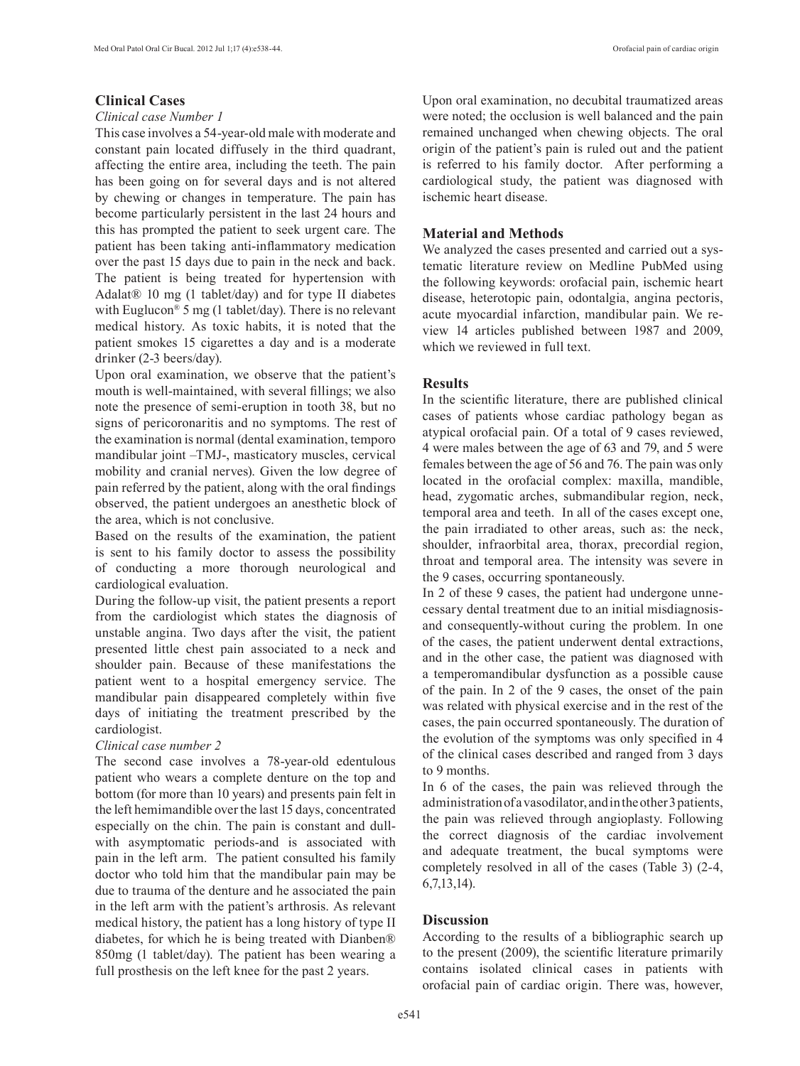# **Clinical Cases**

#### *Clinical case Number 1*

This case involves a 54-year-old male with moderate and constant pain located diffusely in the third quadrant, affecting the entire area, including the teeth. The pain has been going on for several days and is not altered by chewing or changes in temperature. The pain has become particularly persistent in the last 24 hours and this has prompted the patient to seek urgent care. The patient has been taking anti-inflammatory medication over the past 15 days due to pain in the neck and back. The patient is being treated for hypertension with Adalat® 10 mg (1 tablet/day) and for type II diabetes with Euglucon<sup>®</sup> 5 mg (1 tablet/day). There is no relevant medical history. As toxic habits, it is noted that the patient smokes 15 cigarettes a day and is a moderate drinker (2-3 beers/day).

Upon oral examination, we observe that the patient's mouth is well-maintained, with several fillings; we also note the presence of semi-eruption in tooth 38, but no signs of pericoronaritis and no symptoms. The rest of the examination is normal (dental examination, temporo mandibular joint –TMJ-, masticatory muscles, cervical mobility and cranial nerves). Given the low degree of pain referred by the patient, along with the oral findings observed, the patient undergoes an anesthetic block of the area, which is not conclusive.

Based on the results of the examination, the patient is sent to his family doctor to assess the possibility of conducting a more thorough neurological and cardiological evaluation.

During the follow-up visit, the patient presents a report from the cardiologist which states the diagnosis of unstable angina. Two days after the visit, the patient presented little chest pain associated to a neck and shoulder pain. Because of these manifestations the patient went to a hospital emergency service. The mandibular pain disappeared completely within five days of initiating the treatment prescribed by the cardiologist.

### *Clinical case number 2*

The second case involves a 78-year-old edentulous patient who wears a complete denture on the top and bottom (for more than 10 years) and presents pain felt in the left hemimandible over the last 15 days, concentrated especially on the chin. The pain is constant and dullwith asymptomatic periods-and is associated with pain in the left arm. The patient consulted his family doctor who told him that the mandibular pain may be due to trauma of the denture and he associated the pain in the left arm with the patient's arthrosis. As relevant medical history, the patient has a long history of type II diabetes, for which he is being treated with Dianben® 850mg (1 tablet/day). The patient has been wearing a full prosthesis on the left knee for the past 2 years.

Upon oral examination, no decubital traumatized areas were noted; the occlusion is well balanced and the pain remained unchanged when chewing objects. The oral origin of the patient's pain is ruled out and the patient is referred to his family doctor. After performing a cardiological study, the patient was diagnosed with ischemic heart disease.

### **Material and Methods**

We analyzed the cases presented and carried out a systematic literature review on Medline PubMed using the following keywords: orofacial pain, ischemic heart disease, heterotopic pain, odontalgia, angina pectoris, acute myocardial infarction, mandibular pain. We review 14 articles published between 1987 and 2009, which we reviewed in full text.

### **Results**

In the scientific literature, there are published clinical cases of patients whose cardiac pathology began as atypical orofacial pain. Of a total of 9 cases reviewed, 4 were males between the age of 63 and 79, and 5 were females between the age of 56 and 76. The pain was only located in the orofacial complex: maxilla, mandible, head, zygomatic arches, submandibular region, neck, temporal area and teeth. In all of the cases except one, the pain irradiated to other areas, such as: the neck, shoulder, infraorbital area, thorax, precordial region, throat and temporal area. The intensity was severe in the 9 cases, occurring spontaneously.

In 2 of these 9 cases, the patient had undergone unnecessary dental treatment due to an initial misdiagnosisand consequently-without curing the problem. In one of the cases, the patient underwent dental extractions, and in the other case, the patient was diagnosed with a temperomandibular dysfunction as a possible cause of the pain. In 2 of the 9 cases, the onset of the pain was related with physical exercise and in the rest of the cases, the pain occurred spontaneously. The duration of the evolution of the symptoms was only specified in 4 of the clinical cases described and ranged from 3 days to 9 months.

In 6 of the cases, the pain was relieved through the administration of a vasodilator, and in the other 3 patients, the pain was relieved through angioplasty. Following the correct diagnosis of the cardiac involvement and adequate treatment, the bucal symptoms were completely resolved in all of the cases (Table 3) (2-4, 6,7,13,14).

### **Discussion**

According to the results of a bibliographic search up to the present (2009), the scientific literature primarily contains isolated clinical cases in patients with orofacial pain of cardiac origin. There was, however,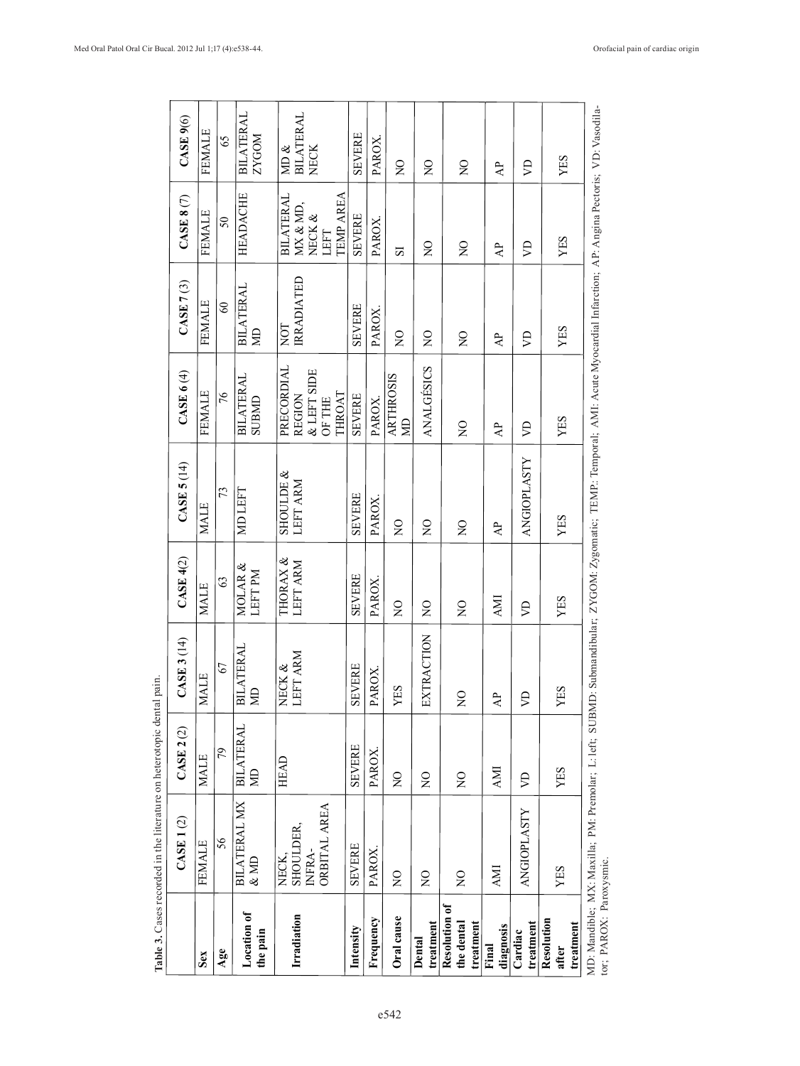|                                          | <b>ADIC 3.</b> Cases recourse interacting the cases of the cases of the cases of the cases of the cases of the cases of the cases of the cases of the cases of the cases of the cases of the cases of the cases of the cases of the |                           |                           |                                 |                          |                                   |                           |                                   |                                  |
|------------------------------------------|-------------------------------------------------------------------------------------------------------------------------------------------------------------------------------------------------------------------------------------|---------------------------|---------------------------|---------------------------------|--------------------------|-----------------------------------|---------------------------|-----------------------------------|----------------------------------|
|                                          | CASE1(2)                                                                                                                                                                                                                            | CASE2(2)                  | CASE 3 (14)               | CASE4(2)                        | CASE 5(14)               | CASE6(4)                          | CASE7(3)                  | CASE 8(7)                         | CASE9(6)                         |
| Sex                                      | <b>FEMALE</b>                                                                                                                                                                                                                       | <b>MALE</b>               | <b>MALE</b>               | <b>MALE</b>                     | <b>MALE</b>              | <b>FEMALE</b>                     | <b>FEMALE</b>             | <b>FEMALE</b>                     | <b>FEMALE</b>                    |
| Age                                      | 56                                                                                                                                                                                                                                  | 79                        | 67                        | $\mathcal{C}$                   | 73                       | 76                                | $\degree$                 | $\overline{50}$                   | 65                               |
| Location of<br>the pain                  | <b>BILATERAL MX</b><br>$\&$ MD                                                                                                                                                                                                      | <b>BILATERAL</b><br>Ê     | <b>BILATERAL</b><br>Ê     | MOLAR &<br>LEFT PM              | MD LEFT                  | <b>BILATERAL</b><br>SUBMD         | <b>BILATERAL</b><br>g     | <b>HEADACHE</b>                   | <b>BILATERAL</b><br><b>ZYGOM</b> |
| <b>Irradiation</b>                       | <b>SHOULDER</b><br><b>NECK</b>                                                                                                                                                                                                      | HEAD                      | LEFT ARM<br>NECK &        | <b>THORAX &amp;</b><br>LEFT ARM | SHOULDE $\&$<br>LEFT ARM | PRECORDIAL<br><b>REGION</b>       | <b>IRRADIATED</b><br>NOT  | <b>BILATERAL</b><br>MX & MD,      | <b>BILATERAL</b><br>MD&          |
|                                          | <b>ORBITAL AREA</b><br>INFRA-                                                                                                                                                                                                       |                           |                           |                                 |                          | $&$ LEFT SIDE<br>THROAT<br>OF THE |                           | <b>TEMP AREA</b><br>NECK&<br>LEFT | <b>NECK</b>                      |
| Intensity                                | <b>SEVERE</b>                                                                                                                                                                                                                       | <b>SEVERE</b>             | <b>SEVERE</b>             | <b>SEVERE</b>                   | <b>SEVERE</b>            | <b>SEVERE</b>                     | <b>SEVERE</b>             | <b>SEVERE</b>                     | <b>SEVERE</b>                    |
| Frequency                                | PAROX                                                                                                                                                                                                                               | <b>PAROX</b>              | PAROX.                    | <b>PAROX</b>                    | <b>PAROX</b>             | PAROX.                            | <b>PAROX</b>              | PAROX.                            | <b>PAROX</b>                     |
| Oral cause                               | $\overline{Q}$                                                                                                                                                                                                                      | $\mathsf{S}$              | YES                       | $\overline{Q}$                  | $\frac{1}{2}$            | ARTHROSIS<br>⋚                    | $\overline{Q}$            | 2                                 | $\mathsf{S}$                     |
| treatment<br>Dental                      | $\overline{a}$                                                                                                                                                                                                                      | $\mathsf{S}^{\mathsf{O}}$ | EXTRACTION                | $\overline{S}$                  | $\mathsf{S}$             | <b>ANALGESICS</b>                 | $\overline{a}$            | $\overline{S}$                    | $\mathsf{S}^{\mathsf{O}}$        |
| Resolution of<br>the dental<br>treatment | $\mathsf{S}^{\mathsf{O}}$                                                                                                                                                                                                           | $\overline{a}$            | $\overline{a}$            | $\frac{1}{2}$                   | $\overline{Q}$           | $\overline{a}$                    | $\overline{Q}$            | $\overline{a}$                    | $\mathsf{S}$                     |
| diagnosis<br>Final                       | <b>NNI</b>                                                                                                                                                                                                                          | <b>AMI</b>                | $\mathbf{A}^{\mathbf{p}}$ | <b>NNI</b>                      | $\overline{4}$           | $\mathbf{A}^{\mathbf{p}}$         | $\mathbf{A}^{\mathbf{p}}$ | $\mathsf{A}^{\mathsf{P}}$         | $\mathsf{A}^{\mathsf{P}}$        |
| treatment<br>Cardiac                     | ANGIOPLASTY                                                                                                                                                                                                                         | ₿                         | Ê                         | Ê                               | <b>ANGIOPLASTY</b>       | ę                                 | ę                         | R                                 | S                                |
| Resolution<br>after                      | <b>YES</b>                                                                                                                                                                                                                          | YES                       | YES                       | YES                             | YES                      | <b>XES</b>                        | YES                       | YES                               | YES                              |

YES

YES

YES

YES

recorded in the literature on heterotonic dental pain. **Table 3.** Cases recorded in the literature on heterotopic dental pain. Table 3 Cases

MD: Mandible; MX: Maxilla; PM: Premolar; L: left; SUBMD: Submandibular; ZYGOM: Zygomatic; TEMP: Temporal; AMI: Acute Myocardial Infarction; AP: Angina Pectoris; VD: Vasodila-<br>tor; PAROX: Paroxysmic. MD: Mandible; MX: Maxilla; PM: Premolar; L: left; SUBMD: Submandibular; ZYGOM: Zygomatic; TEMP: Temporal; AMI: Acute Myocardial Infarction; AP: Angina Pectoris; VD: Vasodila-<br>tor; PAROX: Paroxysmic. treatment **treatment** 

 $\sqrt{ }$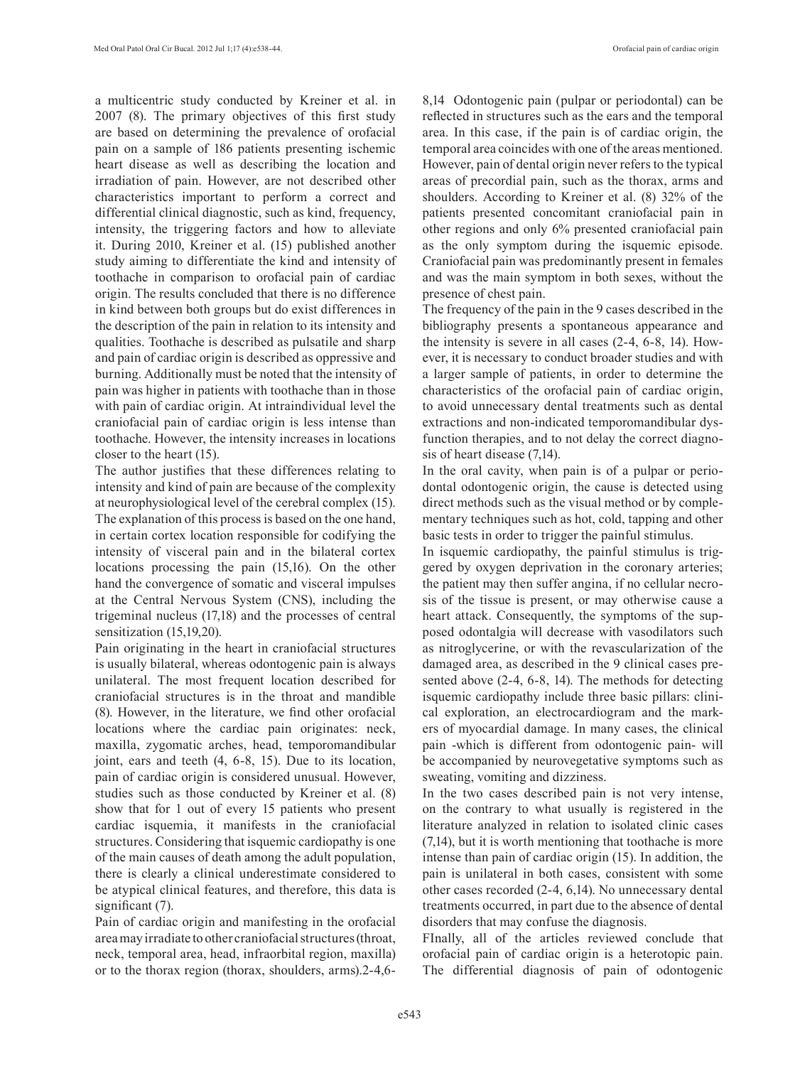a multicentric study conducted by Kreiner et al. in 2007 (8). The primary objectives of this first study are based on determining the prevalence of orofacial pain on a sample of 186 patients presenting ischemic heart disease as well as describing the location and irradiation of pain. However, are not described other characteristics important to perform a correct and differential clinical diagnostic, such as kind, frequency, intensity, the triggering factors and how to alleviate it. During 2010, Kreiner et al. (15) published another study aiming to differentiate the kind and intensity of toothache in comparison to orofacial pain of cardiac origin. The results concluded that there is no difference in kind between both groups but do exist differences in the description of the pain in relation to its intensity and qualities. Toothache is described as pulsatile and sharp and pain of cardiac origin is described as oppressive and burning. Additionally must be noted that the intensity of pain was higher in patients with toothache than in those with pain of cardiac origin. At intraindividual level the craniofacial pain of cardiac origin is less intense than toothache. However, the intensity increases in locations closer to the heart (15).

The author justifies that these differences relating to intensity and kind of pain are because of the complexity at neurophysiological level of the cerebral complex (15). The explanation of this process is based on the one hand, in certain cortex location responsible for codifying the intensity of visceral pain and in the bilateral cortex locations processing the pain (15,16). On the other hand the convergence of somatic and visceral impulses at the Central Nervous System (CNS), including the trigeminal nucleus (17,18) and the processes of central sensitization (15,19,20).

Pain originating in the heart in craniofacial structures is usually bilateral, whereas odontogenic pain is always unilateral. The most frequent location described for craniofacial structures is in the throat and mandible (8). However, in the literature, we find other orofacial locations where the cardiac pain originates: neck, maxilla, zygomatic arches, head, temporomandibular joint, ears and teeth (4, 6-8, 15). Due to its location, pain of cardiac origin is considered unusual. However, studies such as those conducted by Kreiner et al. (8) show that for 1 out of every 15 patients who present cardiac isquemia, it manifests in the craniofacial structures. Considering that isquemic cardiopathy is one of the main causes of death among the adult population, there is clearly a clinical underestimate considered to be atypical clinical features, and therefore, this data is significant  $(7)$ .

Pain of cardiac origin and manifesting in the orofacial area may irradiate to other craniofacial structures (throat, neck, temporal area, head, infraorbital region, maxilla) or to the thorax region (thorax, shoulders, arms).2-4,68,14 Odontogenic pain (pulpar or periodontal) can be reflected in structures such as the ears and the temporal area. In this case, if the pain is of cardiac origin, the temporal area coincides with one of the areas mentioned. However, pain of dental origin never refers to the typical areas of precordial pain, such as the thorax, arms and shoulders. According to Kreiner et al. (8) 32% of the patients presented concomitant craniofacial pain in other regions and only 6% presented craniofacial pain as the only symptom during the isquemic episode. Craniofacial pain was predominantly present in females and was the main symptom in both sexes, without the presence of chest pain.

The frequency of the pain in the 9 cases described in the bibliography presents a spontaneous appearance and the intensity is severe in all cases (2-4, 6-8, 14). However, it is necessary to conduct broader studies and with a larger sample of patients, in order to determine the characteristics of the orofacial pain of cardiac origin, to avoid unnecessary dental treatments such as dental extractions and non-indicated temporomandibular dysfunction therapies, and to not delay the correct diagnosis of heart disease (7,14).

In the oral cavity, when pain is of a pulpar or periodontal odontogenic origin, the cause is detected using direct methods such as the visual method or by complementary techniques such as hot, cold, tapping and other basic tests in order to trigger the painful stimulus.

In isquemic cardiopathy, the painful stimulus is triggered by oxygen deprivation in the coronary arteries; the patient may then suffer angina, if no cellular necrosis of the tissue is present, or may otherwise cause a heart attack. Consequently, the symptoms of the supposed odontalgia will decrease with vasodilators such as nitroglycerine, or with the revascularization of the damaged area, as described in the 9 clinical cases presented above (2-4, 6-8, 14). The methods for detecting isquemic cardiopathy include three basic pillars: clinical exploration, an electrocardiogram and the markers of myocardial damage. In many cases, the clinical pain -which is different from odontogenic pain- will be accompanied by neurovegetative symptoms such as sweating, vomiting and dizziness.

In the two cases described pain is not very intense, on the contrary to what usually is registered in the literature analyzed in relation to isolated clinic cases (7,14), but it is worth mentioning that toothache is more intense than pain of cardiac origin (15). In addition, the pain is unilateral in both cases, consistent with some other cases recorded (2-4, 6,14). No unnecessary dental treatments occurred, in part due to the absence of dental disorders that may confuse the diagnosis.

FInally, all of the articles reviewed conclude that orofacial pain of cardiac origin is a heterotopic pain. The differential diagnosis of pain of odontogenic